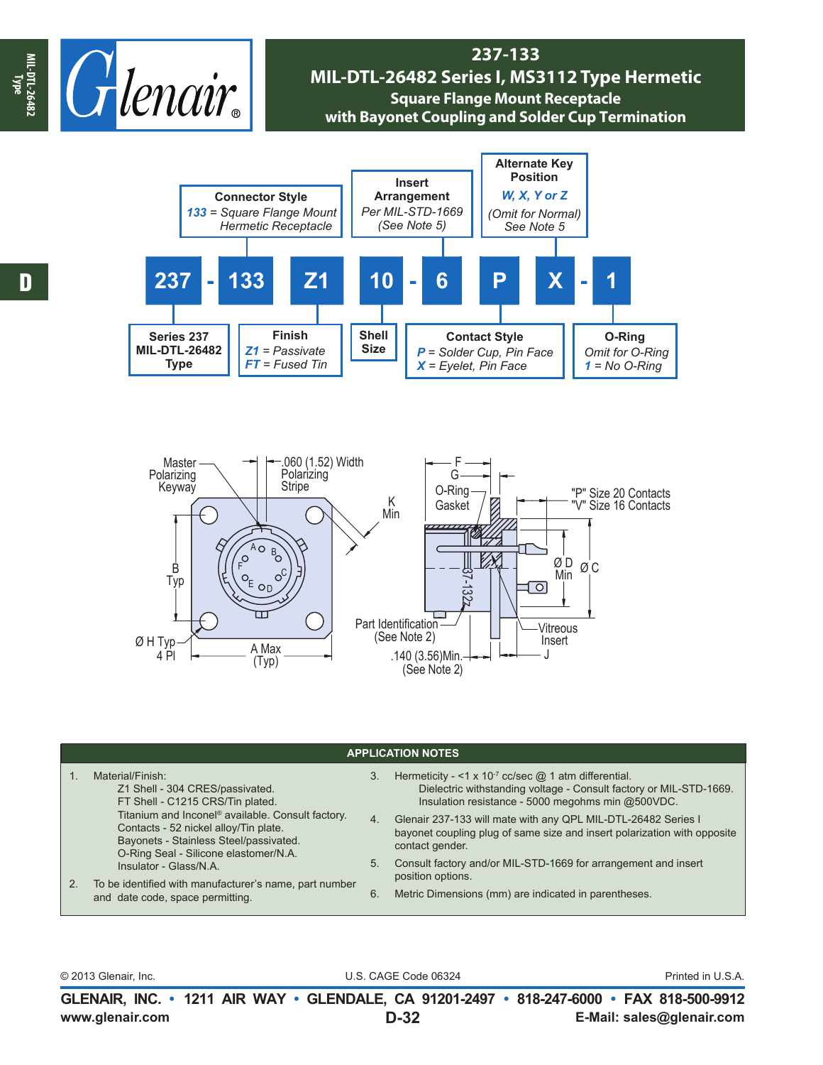

## **237-133 MIL-DTL-26482 Series I, MS3112 Type Hermetic Square Flange Mount Receptacle with Bayonet Coupling and Solder Cup Termination**





| <b>APPLICATION NOTES</b> |                                                                                                                                                                                                                                                                                                                               |    |                                                                                                                                                                                               |  |  |  |  |
|--------------------------|-------------------------------------------------------------------------------------------------------------------------------------------------------------------------------------------------------------------------------------------------------------------------------------------------------------------------------|----|-----------------------------------------------------------------------------------------------------------------------------------------------------------------------------------------------|--|--|--|--|
|                          | Material/Finish:<br>Z1 Shell - 304 CRES/passivated.<br>FT Shell - C1215 CRS/Tin plated.                                                                                                                                                                                                                                       | 3. | Hermeticity - <1 x 10 <sup>-7</sup> cc/sec $@$ 1 atm differential.<br>Dielectric withstanding voltage - Consult factory or MIL-STD-1669.<br>Insulation resistance - 5000 megohms min @500VDC. |  |  |  |  |
| 2.                       | Titanium and Inconel <sup>®</sup> available. Consult factory.<br>Contacts - 52 nickel alloy/Tin plate.<br>Bayonets - Stainless Steel/passivated.<br>O-Ring Seal - Silicone elastomer/N.A.<br>5.<br>Insulator - Glass/N.A.<br>To be identified with manufacturer's name, part number<br>6.<br>and date code, space permitting. | 4. | Glenair 237-133 will mate with any QPL MIL-DTL-26482 Series I<br>bayonet coupling plug of same size and insert polarization with opposite<br>contact gender.                                  |  |  |  |  |
|                          |                                                                                                                                                                                                                                                                                                                               |    | Consult factory and/or MIL-STD-1669 for arrangement and insert<br>position options.                                                                                                           |  |  |  |  |
|                          |                                                                                                                                                                                                                                                                                                                               |    | Metric Dimensions (mm) are indicated in parentheses.                                                                                                                                          |  |  |  |  |

D

© 2013 Glenair, Inc. U.S. CAGE Code 06324 Printed in U.S.A.

**www.glenair.com E-Mail: sales@glenair.com GLENAIR, INC. • 1211 AIR WAY • GLENDALE, CA 91201-2497 • 818-247-6000 • FAX 818-500-9912 D-32**